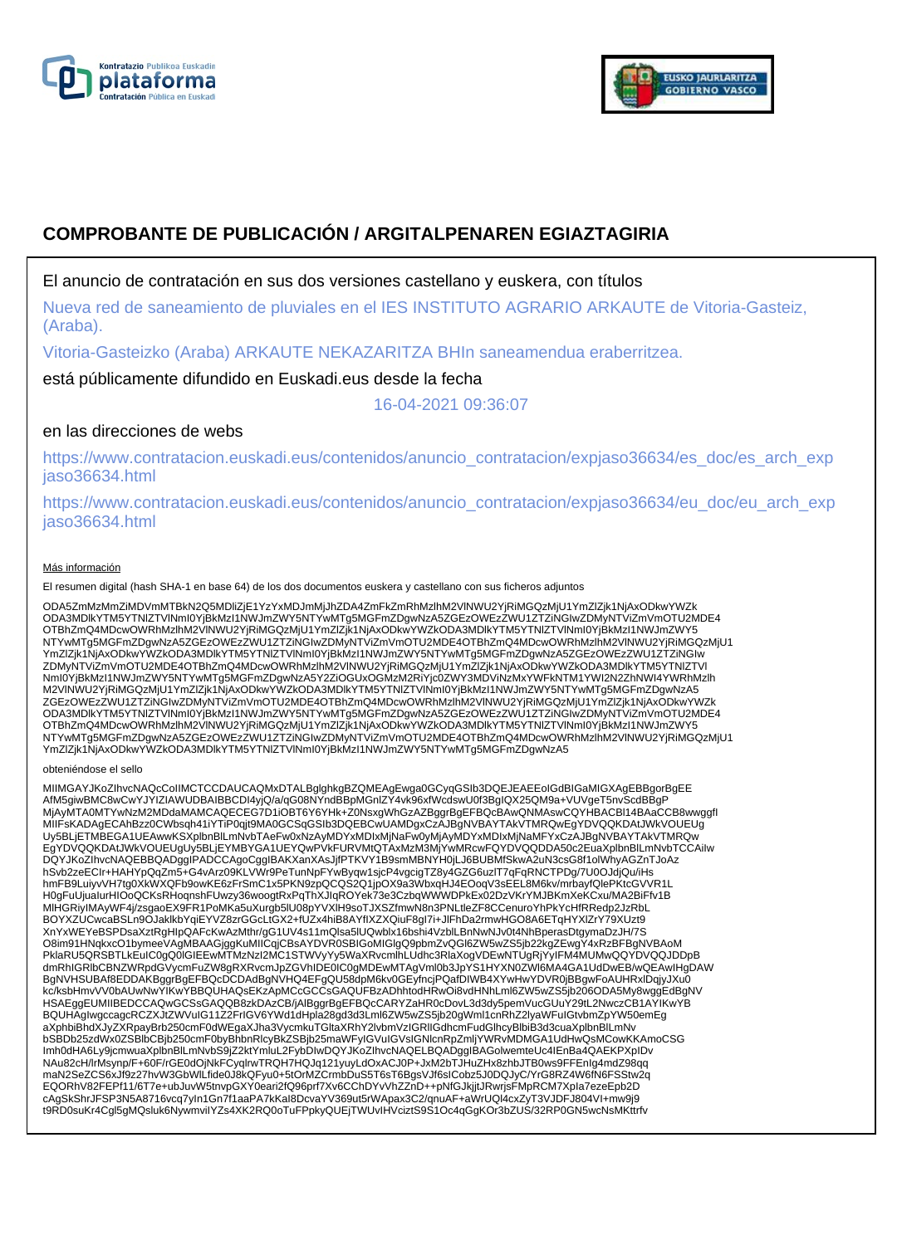



# **COMPROBANTE DE PUBLICACIÓN / ARGITALPENAREN EGIAZTAGIRIA**

## El anuncio de contratación en sus dos versiones castellano y euskera, con títulos

Nueva red de saneamiento de pluviales en el IES INSTITUTO AGRARIO ARKAUTE de Vitoria-Gasteiz, (Araba).

Vitoria-Gasteizko (Araba) ARKAUTE NEKAZARITZA BHIn saneamendua eraberritzea.

está públicamente difundido en Euskadi.eus desde la fecha

16-04-2021 09:36:07

## en las direcciones de webs

https://www.contratacion.euskadi.eus/contenidos/anuncio\_contratacion/expjaso36634/es\_doc/es\_arch\_exp jaso36634.html

https://www.contratacion.euskadi.eus/contenidos/anuncio\_contratacion/expjaso36634/eu\_doc/eu\_arch\_exp jaso36634.html

#### Más información

El resumen digital (hash SHA-1 en base 64) de los dos documentos euskera y castellano con sus ficheros adjuntos

ODA5ZmMzMmZiMDVmMTBkN2Q5MDliZjE1YzYxMDJmMjJhZDA4ZmFkZmRhMzlhM2VlNWU2YjRiMGQzMjU1YmZlZjk1NjAxODkwYWZk ODA3MDlkYTM5YTNlZTVlNmI0YjBkMzI1NWJmZWY5NTYwMTg5MGFmZDgwNzA5ZGEzOWEzZWU1ZTZiNGIwZDMyNTViZmVmOTU2MDE4 OTBhZmQ4MDcwOWRhMzlhM2VlNWU2YjRiMGQzMjU1YmZlZjk1NjAxODkwYWZkODA3MDlkYTM5YTNlZTVlNmI0YjBkMzI1NWJmZWY5 NTYwMTg5MGFmZDgwNzA5ZGEzOWEzZWU1ZTZiNGIwZDMyNTViZmVmOTU2MDE4OTBhZmQ4MDcwOWRhMzlhM2VlNWU2YjRiMGQzMjU1 YmZlZjk1NjAxODkwYWZkODA3MDlkYTM5YTNlZTVlNmI0YjBkMzI1NWJmZWY5NTYwMTg5MGFmZDgwNzA5ZGEzOWEzZWU1ZTZiNGIw ZDMyNTViZmVmOTU2MDE4OTBhZmQ4MDcwOWRhMzlhM2VlNWU2YjRiMGQzMjU1YmZlZjk1NjAxODkwYWZkODA3MDlkYTM5YTNIZTVl<br>NmI0YjBkMzI1NWJmZWY5NTYwMTg5MGFmZDgwNzA5Y2ZiOGUxOGMzM2RiYjc0ZWY3MDViNzMxYWFkNTM1YWI2N2ZhNWI4YWRhMzlh M2VlNWU2YjRiMGQzMjU1YmZlZjk1NjAxODkwYWZkODA3MDlkYTM5YTNlZTVlNmI0YjBkMzI1NWJmZWY5NTYwMTg5MGFmZDgwNzA5 ZGEzOWEzZWU1ZTZiNGIwZDMyNTViZmVmOTU2MDE4OTBhZmQ4MDcwOWRhMzlhM2VlNWU2YjRiMGQzMjU1YmZlZjk1NjAxODkwYWZk ODA3MDlkYTM5YTNlZTVlNmI0YjBkMzI1NWJmZWY5NTYwMTg5MGFmZDgwNzA5ZGEzOWEzZWU1ZTZiNGIwZDMyNTViZmVmOTU2MDE4 OTBhZmQ4MDcwOWRhMzlhM2VlNWU2YjRiMGQzMjU1YmZlZjk1NjAxODkwYWZkODA3MDlkYTM5YTNlZTVlNmI0YjBkMzI1NWJmZWY5 NTYwMTg5MGFmZDgwNzA5ZGEzOWEzZWU1ZTZiNGIwZDMyNTViZmVmOTU2MDE4OTBhZmQ4MDcwOWRhMzlhM2VlNWU2YjRiMGQzMjU1 YmZlZjk1NjAxODkwYWZkODA3MDlkYTM5YTNlZTVlNmI0YjBkMzI1NWJmZWY5NTYwMTg5MGFmZDgwNzA5

#### obteniéndose el sello

MIIMGAYJKoZIhvcNAQcCoIIMCTCCDAUCAQMxDTALBglghkgBZQMEAgEwga0GCyqGSIb3DQEJEAEEoIGdBIGaMIGXAgEBBgorBgEE AfM5giwBMC8wCwYJYIZIAWUDBAIBBCDI4yjQ/a/qG08NYndBBpMGnlZY4vk96xfWcdswU0f3BgIQX25QM9a+VUVgeT5nvScdBBgP<br>MjAyMTA0MTYwNzM2MDdaMAMCAQECEG7D1iOBT6Y6YHk+Z0NsxgWhGzAZBggrBgEFBQcBAwQNMAswCQYHBACBl14BAaCCB8wwggfl MIIFsKADAgECAhBzz0CWbsqh41iYTiP0qjt9MA0GCSqGSIb3DQEBCwUAMDgxCzAJBgNVBAYTAkVTMRQwEgYDVQQKDAtJWkVOUEUg<br>Uy5BLjETMBEGA1UEAwwKSXplbnBlLmNvbTAeFw0xNzAyMDYxMDIxMjNaFw0yMjAyMDYxMDIxMjNaMFYxCzAJBgNVBAYTAkVTMRQw<br>EgYDVQQKDAtJWkVOUEUg DQYJKoZIhvcNAQEBBQADggIPADCCAgoCggIBAKXanXAsJjfPTKVY1B9smMBNYH0jLJ6BUBMfSkwA2uN3csG8f1olWhyAGZnTJoAz hSvb2zeECIr+HAHYpQqZm5+G4vArz09KLVWr9PeTunNpFYwByqw1sjcP4vgcigTZ8y4GZG6uzlT7qFqRNCTPDg/7U0OJdjQu/iHs hmFB9LuiyvVH7tg0XkWXQFb9owKE6zFrSmC1x5PKN9zpQCQS2Q1jpOX9a3WbxqHJ4EOoqV3sEEL8M6kv/mrbayfQlePKtcGVVR1L H0gFuUjuaIurHIOoQCKsRHoqnshFUwzy36woogtRxPqThXJIqROYek73e3CzbqWWWDPkEx02DzVKrYMJBKmXeKCxu/MA2BiFfv1B MlHGRiyIMAyWF4j/zsgaoEX9FR1PoMKa5uXurgb5lU08pYVXlH9soTJXSZfmwN8n3PNLtleZF8CCenuroYhPkYcHfRRedp2JzRbL BOYXZUCwcaBSLn9OJaklkbYqiEYVZ8zrGGcLtGX2+fUZx4hiB8AYfIXZXQiuF8gI7i+JlFhDa2rmwHGO8A6ETqHYXlZrY79XUzt9 XnYxWEYeBSPDsaXztRgHIpQAFcKwAzMthr/gG1UV4s11mQlsa5lUQwblx16bshi4VzblLBnNwNJv0t4NhBperasDtgymaDzJH/7S O8im91HNqkxcO1bymeeVAgMBAAGjggKuMIICqjCBsAYDVR0SBIGoMIGIgQ9pbmZvQGI6ZW5wZS5jb22kgZEwgY4xRzBFBgNVBAoM<br>PklaRU5QRSBTLkEuIC0gQ0IGIEEwMTMzNzI2MC1STWVyYy5WaXRvcmlhLUdhc3RlaXogVDEwNTUgRjYyIFM4MUMwQQYDVQQJDDpB dmRhIGRlbCBNZWRpdGVycmFuZW8gRXRvcmJpZGVhIDE0IC0gMDEwMTAgVml0b3JpYS1HYXN0ZWl6MA4GA1UdDwEB/wQEAwIHgDAW BgNVHSUBAf8EDDAKBggrBgEFBQcDCDAdBgNVHQ4EFgQU58dpM6kv0GEyfncjPQafDIWB4XYwHwYDVR0jBBgwFoAUHRxlDqjyJXu0 kc/ksbHmvVV0bAUwNwYIKwYBBQUHAQsEKzApMCcGCCsGAQUFBzADhhtodHRwOi8vdHNhLml6ZW5wZS5jb206ODA5My8wggEdBgNV HSAEggEUMIIBEDCCAQwGCSsGAQQB8zkDAzCB/jAlBggrBgEFBQcCARYZaHR0cDovL3d3dy5pemVucGUuY29tL2NwczCB1AYIKwYB BQUHAgIwgccagcRCZXJtZWVuIG11Z2FrIGV6YWd1dHpla28gd3d3Lml6ZW5wZS5jb20gWml1cnRhZ2lyaWFuIGtvbmZpYW50emEg<br>aXphbiBhdXJyZXRpayBrb250cmF0dWEgaXJha3VycmkuTGltaXRhY2lvbmVzIGRIIGdhcmFudGlhcyBlbiB3d3cuaXplbnBlLmNv bSBDb25zdWx0ZSBlbCBjb250cmF0byBhbnRlcyBkZSBjb25maWFyIGVuIGVsIGNlcnRpZmljYWRvMDMGA1UdHwQsMCowKKAmoCSG Imh0dHA6Ly9jcmwuaXplbnBlLmNvbS9jZ2ktYmluL2FybDIwDQYJKoZIhvcNAQELBQADggIBAGolwemteUc4IEnBa4QAEKPXpIDv NAu82cH/lrMsynp/F+60F/rGE0dOjNkFCyqlrwTRQH7HQJq121yuyLdOxACJ0P+JxM2bTJHuZHx8zhbJTB0ws9FFEnIg4mdZ98qq maN2SeZCS6xJf9z27hvW3GbWlLfide0J8kQFyu0+5tOrMZCrmbDuS5T6sT6BgsVJf6sICobz5J0DQJyC/YrG8RZ4W6fN6FSStw2q EQORhV82FEPf11/6T7e+ubJuvW5tnvpGXY0eari2fQ96prf7Xv6CChDYvVhZZnD++pNfGJkjjtJRwrjsFMpRCM7XpIa7ezeEpb2D cAgSkShrJFSP3N5A8716vcq7yIn1Gn7f1aaPA7kKaI8DcvaYV369ut5rWApax3C2/qnuAF+aWrUQl4cxZyT3VJDFJ804VI+mw9j9 t9RD0suKr4Cgl5gMQsluk6NywmviIYZs4XK2RQ0oTuFPpkyQUEjTWUvIHVciztS9S1Oc4qGgKOr3bZUS/32RP0GN5wcNsMKttrfv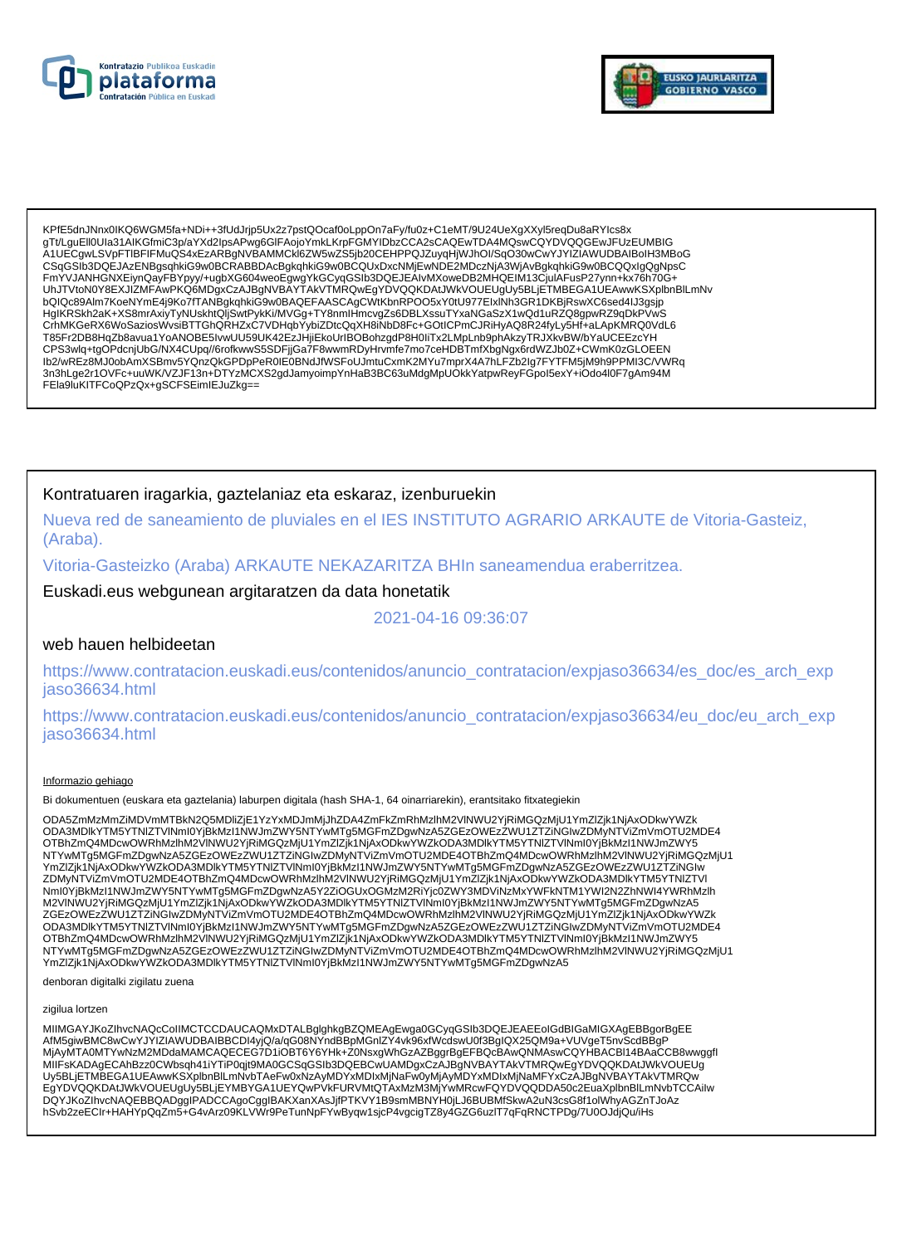



KPfE5dnJNnx0IKQ6WGM5fa+NDi++3fUdJrjp5Ux2z7pstQOcaf0oLppOn7aFy/fu0z+C1eMT/9U24UeXgXXyl5reqDu8aRYIcs8x or incomposition of the Contract Contract Person (CONTROL) in the CONTROL CONTROL CONTROL CONTROL CONTROL CONTR<br>- The Second Contract Contract Contract Contract Contract CONTROL CONTROL CONTROL CONTROL CONTROL CONTROL CONT A1UECgwLSVpFTIBFIFMuQS4xEzARBgNVBAMMCKI6ZW5wZS5jb20CEHPPQJZuyqHjWJhOI/SqO30wCwYJYIZIAWUDBAIBoIH3MBoG CSqGSIb3DQEJAzENBgsqhkiG9w0BCRABBDAcBgkqhkiG9w0BCQUxDxcNMjEwNDE2MDczNjA3WjAvBgkqhkiG9w0BCQQxlgQgNpsC EmYVJANHGNXEiynQayFBYpyy/+ugbXG604weoEgwgYkGCyqGSlb3DQEJEAIvMXoweDB2MHQEIM13CjuIAFusP27ynn+kx76h70G+<br>UhJTVtoN0Y8EXJIZMFAwPKQ6MDgxCzAJBgNVBAYTAkVTMRQwEgYDVQQKDAtJWkVOUEUgUy5BLjETMBEGA1UEAwwKSXplbnBlLmNv bQIQc89Alm7KoeNYmE4j9Ko7fTANBgkqhkiG9w0BAQEFAASCAgCWtKbnRPOO5xY0tU977ElxINh3GR1DKBjRswXC6sed4IJ3gsjp HgIKRSkh2aK+XS8mrAxiyTyNUskhtQIjSwtPykKi/MVGg+TY8nmlHmcvgZs6DBLXssuTYxaNGaSzX1wQd1uRZQ8gpwRZ9qDkPVwS ryjn Kosniczny Arabii Powstawie w przez przez przez przez podstawie w zapierne w podstawie w występu w występu<br>ChMKGeRX6WoSaziosWysiBTTGhQRHZxC7VDHqbYybiZDtcQqXH8iNbD8Fc+GOtICPmCJRiHyAQ8R24fyLy5Hf+aLApKMRQ0VdL6<br>T85Fr2DB8Hq CPS3wlq+tgOPdcnjUbG/NX4CUpq//6rofkwwS5SDFjjGa7F8wwmRDyHrvmfe7mo7ceHDBTmfXbgNgx6rdWZJb0Z+CWmK0zGLOEEN Ib2/wREz8MJ0obAmXSBmv5YQnzQkGPDpPeR0IE0BNdJfWSFoUJmtuCxmK2MYu7mprX4A7hLFZb2lg7FYTFM5jM9h9PPMI3C/VWRq 3n3hLge2r1OVFc+uuWK/VZJF13n+DTYzMCXS2gdJamyoimpYnHaB3BC63uMdgMpUOkkYatpwReyFGpol5exY+iOdo4l0F7gAm94M FEIa9IuKITFCoQPzQx+gSCFSEimIEJuZkg==

### Kontratuaren iragarkia, gaztelaniaz eta eskaraz, izenburuekin

Nueva red de saneamiento de pluviales en el IES INSTITUTO AGRARIO ARKAUTE de Vitoria-Gasteiz. (Araba).

Vitoria-Gasteizko (Araba) ARKAUTE NEKAZARITZA BHIn saneamendua eraberritzea.

Euskadi.eus webgunean argitaratzen da data honetatik

2021-04-16 09:36:07

## web hauen helbideetan

https://www.contratacion.euskadi.eus/contenidos/anuncio\_contratacion/expjaso36634/es\_doc/es\_arch\_exp iaso36634.html

https://www.contratacion.euskadi.eus/contenidos/anuncio contratacion/expjaso36634/eu doc/eu arch exp jaso36634.html

#### Informazio gehiago

Bi dokumentuen (euskara eta gaztelania) laburpen digitala (hash SHA-1, 64 oinarriarekin), erantsitako fitxategiekin

ODA5ZmMzMmZiMDVmMTBkN2Q5MDliZjE1YzYxMDJmMjJhZDA4ZmFkZmRhMzlhM2VlNWU2YjRiMGQzMjU1YmZlZjk1NjAxODkwYWZk ODA3MDlkYTM5YTNIZTVINmI0YjBkMzI1NWJmZWY5NTYwMTg5MGFmZDgwNzA5ZGEzOWEzZWU1ZTZiNGIwZDMyNTViZmVmOTU2MDE4 OTBhZmQ4MDcwOWRhMzIhM2VINWU2YjRiMGQzMjU1YmZlZjk1NjAxODkwYWZkODA3MDlkYTM5YTNlZTVINml0YjBkMzl1NWJmZWY5 NTYwMTg5MGFmZDgwNzA5ZGEzOWEzZWU1ZTZINGIwZDMyNTViZmVmOTU2MDE4OTBhZmQ4MDcwOWRhMzInM2VINWU2YjRiMGQzMjU1 YmZlZjk1NjAxODkwYWZkODA3MDlkYTM5YTNIZTVINmI0YjBkMzI1NWJmZWY5NTYwMTg5MGFmZDgwNzA5ZGEzOWEzZWU1ZTZiNGIw ZDMyNTViZmVmOTU2MDE4OTBhZmQ4MDcwOWRhMzlhM2VlNWU2YjRiMGQzMjU1YmZlZjk1NjAxODkwYWZkODA3MDlkYTM5YTNlZTVI Nml0YjBkMzI1NWJmZWY5NTYwMTg5MGFmZDgwNzA5Y2ZiOGUxOGMzM2RiYjc0ZWY3MDViNzMxYWFkNTM1YWI2N2ZhNWI4YWRhMzlh M2VINWU2YjRiMGQzMjU1YmZlZjk1NjAxODkwYWZkODA3MDlkYTM5YTNIZTVINml0YjBkMzl1NWJmZWY5NTYwMTg5MGFmZDgwNzA5 OTBhZmQ4MDcwOWRhMzIhM2VINWU2YjRiMGQzMjU1YmZlZjk1NjAxODkwYWZkODA3MDlkYTM5YTNlZTVINml0YjBkMzl1NWJmZWY5 NTYwMTg5MGFmZDgwNzA5ZGEzOWEzZWU1ZTZINGIwZDMyNTViZmVmOTU2MDE4OTBhZmQ4MDcwOWRhMzInM2VINWU2YjRiMGQzMjU1 YmZlZjk1NjAxODkwYWZkODA3MDlkYTM5YTNlZTVlNml0YjBkMzl1NWJmZWY5NTYwMTg5MGFmZDgwNzA5

denboran digitalki zigilatu zuena

zigilua lortzen

MIIMGAYJKoZIhvcNAQcCoIIMCTCCDAUCAQMxDTALBglghkgBZQMEAgEwga0GCyqGSIb3DQEJEAEEoIGdBIGaMIGXAgEBBgorBgEE AfM5giwBMC8wCwYJYIZIAWUDBAIBBCDI4yjQ/a/qG08NYndBBpMGnIZY4vk96xfWcdswU0f3BgIQX25QM9a+VUVgeT5nvScdBBgP المستخدمة المستخدمة المستخدمة المستخدمة المستخدمة المستخدمة المستخدمة المستخدمة المستخدمة المستخدمة المستخدمة<br>MiAyMTAOMTYwNzM2MDdaMAMCAQECEG7D1iOBT6Y6YHk+Z0NsxgWhGzAZBggrBgEFBQcBAwQNMAswCQYHBACBI14BAaCCB8wwggfl<br>USBLiETMBE EqYDVQQKDAtJWkVQUEUqUy5BLIEYMBYGA1UEYQwPVkFURVMtQTAxMzM3MjYwMRcwFQYDVQQDDA50c2EuaXplbnBlLmNvbTCCAilw DQYJKoZIhvcNAQEBBQADggIPADCCAgoCggIBAKXanXAsJjfPTKVY1B9smMBNYH0jLJ6BUBMfSkwA2uN3csG8f1olWhyAGZnTJoAz hSvb2zeECIr+HAHYpQqZm5+G4vArz09KLVWr9PeTunNpFYwByqw1sjcP4vgcigTZ8y4GZG6uzlT7qFqRNCTPDg/7U0OJdjQu/iHs